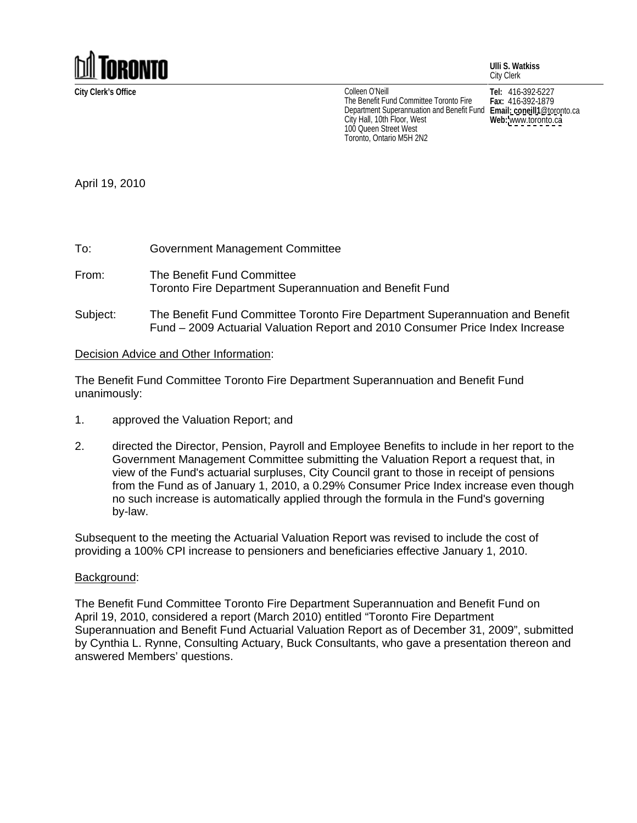

**City Clerk's Office Tel:** 416-392-5227 Colleen O'Neill<br>The Benefit Fund Committee Toronto Fire Fax: 416-392-1879 The Benefit Fund Committee Toronto Fire **Fax:** 416-392-1879 Department Superannuation and Benefit Fund Email: coneill1@toronto.ca City Hall, 10th Floor, West<br>100 Queen Street West<br>100 Queen Street West 100 Queen Street West Toronto, Ontario M5H 2N2

**Fax:** 416-392-1879 **Email: coneill1**@toronto.ca **Web:** [www.toronto.ca](http://www.toronto.ca)

**Ulli S. Watkiss**

City Clerk

April 19, 2010

- From: The Benefit Fund Committee **Following Committee From Section 2006** Toronto Fire Department Superannuation and Benefit Fund
- Subject: The Benefit Fund Committee Toronto Fire Department Superannuation and Benefit Fund – 2009 Actuarial Valuation Report and 2010 Consumer Price Index Increase

## Decision Advice and Other Information:

The Benefit Fund Committee Toronto Fire Department Superannuation and Benefit Fund unanimously:

- 1. approved the Valuation Report; and
- 2. directed the Director, Pension, Payroll and Employee Benefits to include in her report to the Government Management Committee submitting the Valuation Report a request that, in view of the Fund's actuarial surpluses, City Council grant to those in receipt of pensions from the Fund as of January 1, 2010, a 0.29% Consumer Price Index increase even though no such increase is automatically applied through the formula in the Fund's governing by-law.

Subsequent to the meeting the Actuarial Valuation Report was revised to include the cost of providing a 100% CPI increase to pensioners and beneficiaries effective January 1, 2010.

## Background: with a state of the state of the state of the state of the state of the state of the state of the state of the state of the state of the state of the state of the state of the state of the state of the state of

The Benefit Fund Committee Toronto Fire Department Superannuation and Benefit Fund on April 19, 2010, considered a report (March 2010) entitled "Toronto Fire Department Superannuation and Benefit Fund Actuarial Valuation Report as of December 31, 2009", submitted by Cynthia L. Rynne, Consulting Actuary, Buck Consultants, who gave a presentation thereon and answered Members' questions.